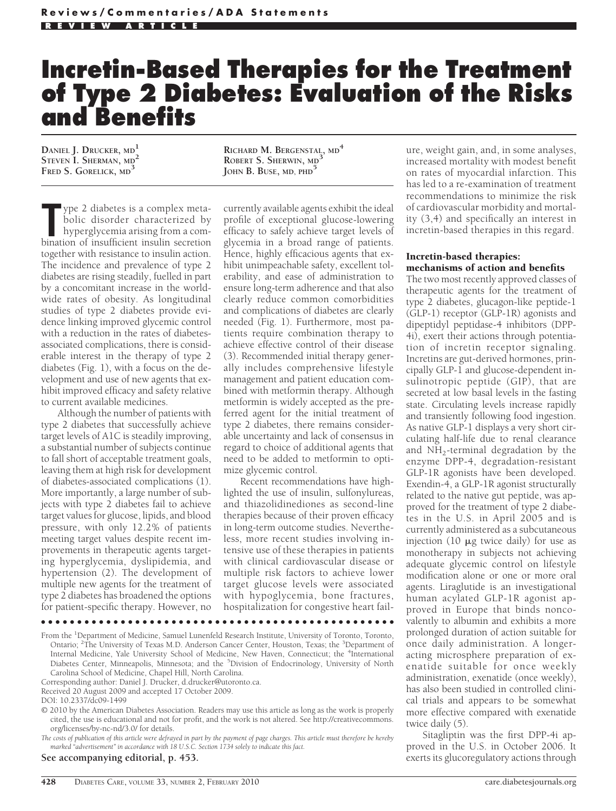# **Incretin-Based Therapies for the Treatment of Type 2 Diabetes: Evaluation of the Risks and Benefits**

**DANIEL J. DRUCKER, MD<sup>1</sup> STEVEN I. SHERMAN, MD<sup>2</sup> FRED S. GORELICK, MD<sup>3</sup>**

**RICHARD M. BERGENSTAL, MD<sup>4</sup> ROBERT S. SHERWIN, MD<sup>3</sup>** JOHN B. BUSE, MD, PHD<sup>5</sup>

The physical state of the physical state of the physical state of the physical state of the physical state of the physical state of the physical state of the physical state of the physical state of the physical state of th ype 2 diabetes is a complex metabolic disorder characterized by hyperglycemia arising from a comtogether with resistance to insulin action. The incidence and prevalence of type 2 diabetes are rising steadily, fuelled in part by a concomitant increase in the worldwide rates of obesity. As longitudinal studies of type 2 diabetes provide evidence linking improved glycemic control with a reduction in the rates of diabetesassociated complications, there is considerable interest in the therapy of type 2 diabetes (Fig. 1), with a focus on the development and use of new agents that exhibit improved efficacy and safety relative to current available medicines.

Although the number of patients with type 2 diabetes that successfully achieve target levels of A1C is steadily improving, a substantial number of subjects continue to fall short of acceptable treatment goals, leaving them at high risk for development of diabetes-associated complications (1). More importantly, a large number of subjects with type 2 diabetes fail to achieve target values for glucose, lipids, and blood pressure, with only 12.2% of patients meeting target values despite recent improvements in therapeutic agents targeting hyperglycemia, dyslipidemia, and hypertension (2). The development of multiple new agents for the treatment of type 2 diabetes has broadened the options for patient-specific therapy. However, no

currently available agents exhibit the ideal profile of exceptional glucose-lowering efficacy to safely achieve target levels of glycemia in a broad range of patients. Hence, highly efficacious agents that exhibit unimpeachable safety, excellent tolerability, and ease of administration to ensure long-term adherence and that also clearly reduce common comorbidities and complications of diabetes are clearly needed (Fig. 1). Furthermore, most patients require combination therapy to achieve effective control of their disease (3). Recommended initial therapy generally includes comprehensive lifestyle management and patient education combined with metformin therapy. Although metformin is widely accepted as the preferred agent for the initial treatment of type 2 diabetes, there remains considerable uncertainty and lack of consensus in regard to choice of additional agents that need to be added to metformin to optimize glycemic control.

Recent recommendations have highlighted the use of insulin, sulfonylureas, and thiazolidinediones as second-line therapies because of their proven efficacy in long-term outcome studies. Nevertheless, more recent studies involving intensive use of these therapies in patients with clinical cardiovascular disease or multiple risk factors to achieve lower target glucose levels were associated with hypoglycemia, bone fractures, hospitalization for congestive heart fail-

●●●●●●●●●●●●●●●●●●●●●●●●●●●●●●●●●●●●●●●●●●●●●●●●● From the <sup>1</sup>Department of Medicine, Samuel Lunenfeld Research Institute, University of Toronto, Toronto, Ontario; <sup>2</sup>The University of Texas M.D. Anderson Cancer Center, Houston, Texas; the <sup>3</sup>Department of

Internal Medicine, Yale University School of Medicine, New Haven, Connecticut; the <sup>4</sup>International Diabetes Center, Minneapolis, Minnesota; and the <sup>5</sup>Division of Endocrinology, University of North Carolina School of Medicine, Chapel Hill, North Carolina.

Corresponding author: Daniel J. Drucker, d.drucker@utoronto.ca.

Received 20 August 2009 and accepted 17 October 2009.

DOI: 10.2337/dc09-1499

© 2010 by the American Diabetes Association. Readers may use this article as long as the work is properly cited, the use is educational and not for profit, and the work is not altered. See http://creativecommons. org/licenses/by-nc-nd/3.0/ for details.

*The costs of publication of this article were defrayed in part by the payment of page charges. This article must therefore be hereby marked "advertisement" in accordance with 18 U.S.C. Section 1734 solely to indicate this fact.*

### **See accompanying editorial, p. 453.**

ure, weight gain, and, in some analyses, increased mortality with modest benefit on rates of myocardial infarction. This has led to a re-examination of treatment recommendations to minimize the risk of cardiovascular morbidity and mortality (3,4) and specifically an interest in incretin-based therapies in this regard.

#### Incretin-based therapies: mechanisms of action and benefits

The two most recently approved classes of therapeutic agents for the treatment of type 2 diabetes, glucagon-like peptide-1 (GLP-1) receptor (GLP-1R) agonists and dipeptidyl peptidase-4 inhibitors (DPP-4i), exert their actions through potentiation of incretin receptor signaling. Incretins are gut-derived hormones, principally GLP-1 and glucose-dependent insulinotropic peptide (GIP), that are secreted at low basal levels in the fasting state. Circulating levels increase rapidly and transiently following food ingestion. As native GLP-1 displays a very short circulating half-life due to renal clearance and  $NH<sub>2</sub>$ -terminal degradation by the enzyme DPP-4, degradation-resistant GLP-1R agonists have been developed. Exendin-4, a GLP-1R agonist structurally related to the native gut peptide, was approved for the treatment of type 2 diabetes in the U.S. in April 2005 and is currently administered as a subcutaneous injection (10  $\mu$ g twice daily) for use as monotherapy in subjects not achieving adequate glycemic control on lifestyle modification alone or one or more oral agents. Liraglutide is an investigational human acylated GLP-1R agonist approved in Europe that binds noncovalently to albumin and exhibits a more prolonged duration of action suitable for once daily administration. A longeracting microsphere preparation of exenatide suitable for once weekly administration, exenatide (once weekly), has also been studied in controlled clinical trials and appears to be somewhat more effective compared with exenatide twice daily (5).

Sitagliptin was the first DPP-4i approved in the U.S. in October 2006. It exerts its glucoregulatory actions through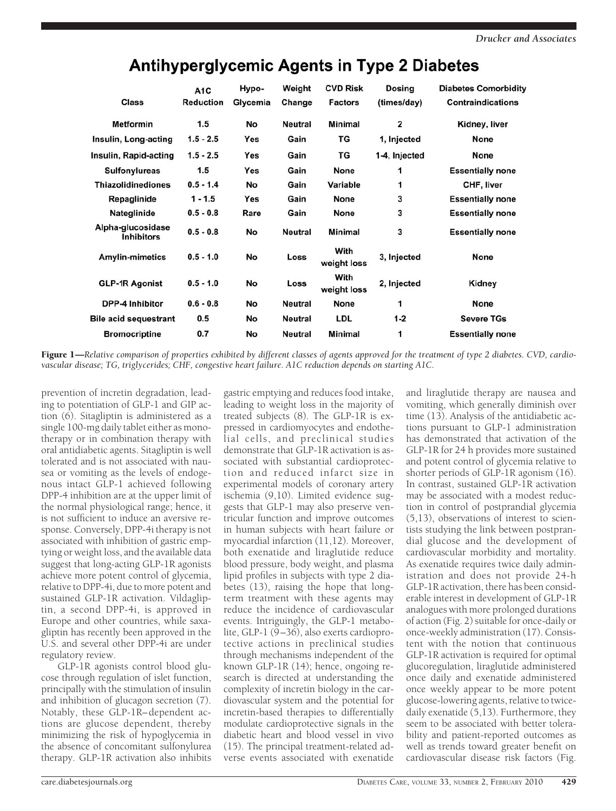*Drucker and Associates*

| Class                                  | A <sub>1</sub> C<br><b>Reduction</b> | Hypo-<br>Glycemia | Weight<br>Change | <b>CVD Risk</b><br><b>Factors</b> | <b>Dosing</b><br>(times/day) | <b>Diabetes Comorbidity</b><br><b>Contraindications</b> |
|----------------------------------------|--------------------------------------|-------------------|------------------|-----------------------------------|------------------------------|---------------------------------------------------------|
| <b>Metformin</b>                       | 1.5                                  | No                | Neutral          | <b>Minimal</b>                    | 2                            | Kidney, liver                                           |
| Insulin, Long-acting                   | $1.5 - 2.5$                          | Yes               | Gain             | TG                                | 1, Injected                  | None                                                    |
| Insulin, Rapid-acting                  | $1.5 - 2.5$                          | Yes               | Gain             | ТG                                | 1-4, Injected                | None                                                    |
| <b>Sulfonylureas</b>                   | 1.5                                  | Yes               | Gain             | None                              | 1                            | <b>Essentially none</b>                                 |
| <b>Thiazolidinediones</b>              | $0.5 - 1.4$                          | No                | Gain             | Variable                          | 1                            | CHF, liver                                              |
| Repaglinide                            | $1 - 1.5$                            | Yes               | Gain             | None                              | 3                            | <b>Essentially none</b>                                 |
| Nateglinide                            | $0.5 - 0.8$                          | Rare              | Gain             | None                              | 3                            | <b>Essentially none</b>                                 |
| Alpha-glucosidase<br><b>Inhibitors</b> | $0.5 - 0.8$                          | No                | <b>Neutral</b>   | <b>Minimal</b>                    | 3                            | <b>Essentially none</b>                                 |
| <b>Amylin-mimetics</b>                 | $0.5 - 1.0$                          | No                | Loss             | With<br>weight loss               | 3, Injected                  | None                                                    |
| <b>GLP-1R Agonist</b>                  | $0.5 - 1.0$                          | No                | Loss             | With<br>weight loss               | 2, Injected                  | Kidney                                                  |
| <b>DPP-4 Inhibitor</b>                 | $0.6 - 0.8$                          | No                | Neutral          | None                              | 1                            | None                                                    |
| <b>Bile acid sequestrant</b>           | 0.5                                  | No                | Neutral          | LDL                               | $1 - 2$                      | <b>Severe TGs</b>                                       |
| <b>Bromocriptine</b>                   | 0.7                                  | No                | Neutral          | <b>Minimal</b>                    | 1                            | <b>Essentially none</b>                                 |

# **Antihyperglycemic Agents in Type 2 Diabetes**

Figure 1—Relative comparison of properties exhibited by different classes of agents approved for the treatment of type 2 diabetes. CVD, cardio*vascular disease; TG, triglycerides; CHF, congestive heart failure. A1C reduction depends on starting A1C.*

prevention of incretin degradation, leading to potentiation of GLP-1 and GIP action (6). Sitagliptin is administered as a single 100-mg daily tablet either as monotherapy or in combination therapy with oral antidiabetic agents. Sitagliptin is well tolerated and is not associated with nausea or vomiting as the levels of endogenous intact GLP-1 achieved following DPP-4 inhibition are at the upper limit of the normal physiological range; hence, it is not sufficient to induce an aversive response. Conversely, DPP-4i therapy is not associated with inhibition of gastric emptying or weight loss, and the available data suggest that long-acting GLP-1R agonists achieve more potent control of glycemia, relative to DPP-4i, due to more potent and sustained GLP-1R activation. Vildagliptin, a second DPP-4i, is approved in Europe and other countries, while saxagliptin has recently been approved in the U.S. and several other DPP-4i are under regulatory review.

GLP-1R agonists control blood glucose through regulation of islet function, principally with the stimulation of insulin and inhibition of glucagon secretion (7). Notably, these GLP-1R– dependent actions are glucose dependent, thereby minimizing the risk of hypoglycemia in the absence of concomitant sulfonylurea therapy. GLP-1R activation also inhibits

gastric emptying and reduces food intake, leading to weight loss in the majority of treated subjects (8). The GLP-1R is expressed in cardiomyocytes and endothelial cells, and preclinical studies demonstrate that GLP-1R activation is associated with substantial cardioprotection and reduced infarct size in experimental models of coronary artery ischemia (9,10). Limited evidence suggests that GLP-1 may also preserve ventricular function and improve outcomes in human subjects with heart failure or myocardial infarction (11,12). Moreover, both exenatide and liraglutide reduce blood pressure, body weight, and plasma lipid profiles in subjects with type 2 diabetes (13), raising the hope that longterm treatment with these agents may reduce the incidence of cardiovascular events. Intriguingly, the GLP-1 metabolite, GLP-1 (9–36), also exerts cardioprotective actions in preclinical studies through mechanisms independent of the known GLP-1R (14); hence, ongoing research is directed at understanding the complexity of incretin biology in the cardiovascular system and the potential for incretin-based therapies to differentially modulate cardioprotective signals in the diabetic heart and blood vessel in vivo (15). The principal treatment-related adverse events associated with exenatide

and liraglutide therapy are nausea and vomiting, which generally diminish over time (13). Analysis of the antidiabetic actions pursuant to GLP-1 administration has demonstrated that activation of the GLP-1R for 24 h provides more sustained and potent control of glycemia relative to shorter periods of GLP-1R agonism (16). In contrast, sustained GLP-1R activation may be associated with a modest reduction in control of postprandial glycemia (5,13), observations of interest to scientists studying the link between postprandial glucose and the development of cardiovascular morbidity and mortality. As exenatide requires twice daily administration and does not provide 24-h GLP-1R activation, there has been considerable interest in development of GLP-1R analogues with more prolonged durations of action (Fig. 2) suitable for once-daily or once-weekly administration (17). Consistent with the notion that continuous GLP-1R activation is required for optimal glucoregulation, liraglutide administered once daily and exenatide administered once weekly appear to be more potent glucose-lowering agents, relative to twicedaily exenatide (5,13). Furthermore, they seem to be associated with better tolerability and patient-reported outcomes as well as trends toward greater benefit on cardiovascular disease risk factors (Fig.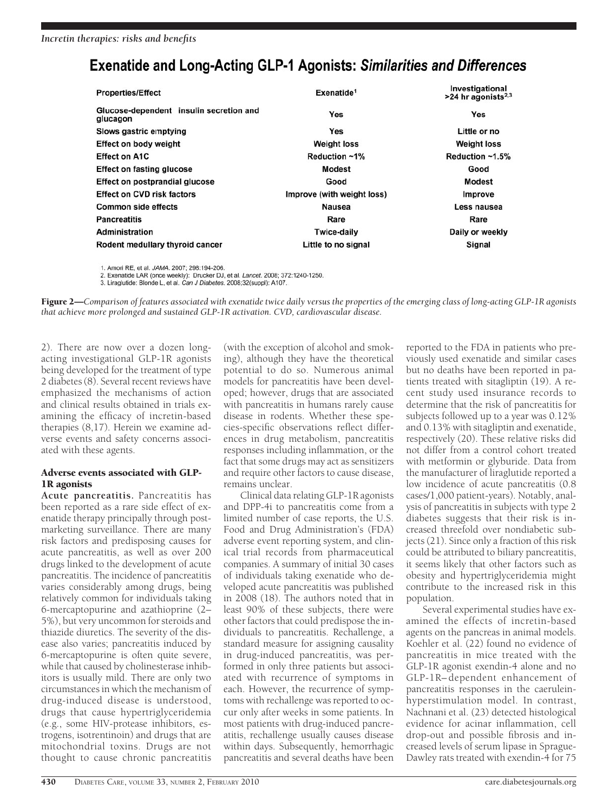# **Exenatide and Long-Acting GLP-1 Agonists: Similarities and Differences**

| <b>Properties/Effect</b>                            | Exenatide <sup>1</sup>     | Investigational<br>$>24$ hr agonists <sup>2,3</sup> |
|-----------------------------------------------------|----------------------------|-----------------------------------------------------|
| Glucose-dependent insulin secretion and<br>glucagon | Yes                        | Yes                                                 |
| Slows gastric emptying                              | Yes                        | Little or no                                        |
| Effect on body weight                               | <b>Weight loss</b>         | <b>Weight loss</b>                                  |
| <b>Effect on A1C</b>                                | Reduction ~1%              | Reduction ~1.5%                                     |
| <b>Effect on fasting glucose</b>                    | Modest                     | Good                                                |
| <b>Effect on postprandial glucose</b>               | Good                       | Modest                                              |
| <b>Effect on CVD risk factors</b>                   | Improve (with weight loss) | Improve                                             |
| <b>Common side effects</b>                          | <b>Nausea</b>              | Less nausea                                         |
| <b>Pancreatitis</b>                                 | Rare                       | Rare                                                |
| Administration                                      | <b>Twice-daily</b>         | Daily or weekly                                     |
| Rodent medullary thyroid cancer                     | Little to no signal        | Signal                                              |

1. Amori RE, et al. JAMA. 2007; 298:194-206. 2. Exenatide LAR (once weekly): Drucker DJ, et al. Lancet. 2008; 372:1240-1250.

3. Liraglutide: Blonde L, et al. Can J Diabetes. 2008;32(suppl): A107.



2). There are now over a dozen longacting investigational GLP-1R agonists being developed for the treatment of type 2 diabetes (8). Several recent reviews have emphasized the mechanisms of action and clinical results obtained in trials examining the efficacy of incretin-based therapies (8,17). Herein we examine adverse events and safety concerns associated with these agents.

# Adverse events associated with GLP-1R agonists

**Acute pancreatitis.** Pancreatitis has been reported as a rare side effect of exenatide therapy principally through postmarketing surveillance. There are many risk factors and predisposing causes for acute pancreatitis, as well as over 200 drugs linked to the development of acute pancreatitis. The incidence of pancreatitis varies considerably among drugs, being relatively common for individuals taking 6-mercaptopurine and azathioprine (2– 5%), but very uncommon for steroids and thiazide diuretics. The severity of the disease also varies; pancreatitis induced by 6-mercaptopurine is often quite severe, while that caused by cholinesterase inhibitors is usually mild. There are only two circumstances in which the mechanism of drug-induced disease is understood, drugs that cause hypertriglyceridemia (e.g., some HIV-protease inhibitors, estrogens, isotrentinoin) and drugs that are mitochondrial toxins. Drugs are not thought to cause chronic pancreatitis

(with the exception of alcohol and smoking), although they have the theoretical potential to do so. Numerous animal models for pancreatitis have been developed; however, drugs that are associated with pancreatitis in humans rarely cause disease in rodents. Whether these species-specific observations reflect differences in drug metabolism, pancreatitis responses including inflammation, or the fact that some drugs may act as sensitizers and require other factors to cause disease, remains unclear.

Clinical data relating GLP-1R agonists and DPP-4i to pancreatitis come from a limited number of case reports, the U.S. Food and Drug Administration's (FDA) adverse event reporting system, and clinical trial records from pharmaceutical companies. A summary of initial 30 cases of individuals taking exenatide who developed acute pancreatitis was published in 2008 (18). The authors noted that in least 90% of these subjects, there were other factors that could predispose the individuals to pancreatitis. Rechallenge, a standard measure for assigning causality in drug-induced pancreatitis, was performed in only three patients but associated with recurrence of symptoms in each. However, the recurrence of symptoms with rechallenge was reported to occur only after weeks in some patients. In most patients with drug-induced pancreatitis, rechallenge usually causes disease within days. Subsequently, hemorrhagic pancreatitis and several deaths have been

reported to the FDA in patients who previously used exenatide and similar cases but no deaths have been reported in patients treated with sitagliptin (19). A recent study used insurance records to determine that the risk of pancreatitis for subjects followed up to a year was 0.12% and 0.13% with sitagliptin and exenatide, respectively (20). These relative risks did not differ from a control cohort treated with metformin or glyburide. Data from the manufacturer of liraglutide reported a low incidence of acute pancreatitis (0.8 cases/1,000 patient-years). Notably, analysis of pancreatitis in subjects with type 2 diabetes suggests that their risk is increased threefold over nondiabetic subjects (21). Since only a fraction of this risk could be attributed to biliary pancreatitis, it seems likely that other factors such as obesity and hypertriglyceridemia might contribute to the increased risk in this population.

Several experimental studies have examined the effects of incretin-based agents on the pancreas in animal models. Koehler et al. (22) found no evidence of pancreatitis in mice treated with the GLP-1R agonist exendin-4 alone and no GLP-1R– dependent enhancement of pancreatitis responses in the caeruleinhyperstimulation model. In contrast, Nachnani et al. (23) detected histological evidence for acinar inflammation, cell drop-out and possible fibrosis and increased levels of serum lipase in Sprague-Dawley rats treated with exendin-4 for 75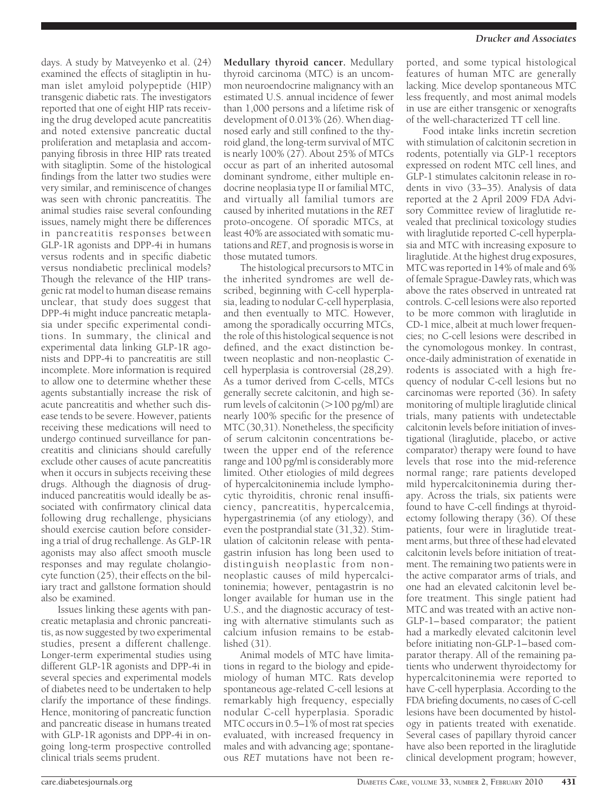days. A study by Matveyenko et al. (24) examined the effects of sitagliptin in human islet amyloid polypeptide (HIP) transgenic diabetic rats. The investigators reported that one of eight HIP rats receiving the drug developed acute pancreatitis and noted extensive pancreatic ductal proliferation and metaplasia and accompanying fibrosis in three HIP rats treated with sitagliptin. Some of the histological findings from the latter two studies were very similar, and reminiscence of changes was seen with chronic pancreatitis. The animal studies raise several confounding issues, namely might there be differences in pancreatitis responses between GLP-1R agonists and DPP-4i in humans versus rodents and in specific diabetic versus nondiabetic preclinical models? Though the relevance of the HIP transgenic rat model to human disease remains unclear, that study does suggest that DPP-4i might induce pancreatic metaplasia under specific experimental conditions. In summary, the clinical and experimental data linking GLP-1R agonists and DPP-4i to pancreatitis are still incomplete. More information is required to allow one to determine whether these agents substantially increase the risk of acute pancreatitis and whether such disease tends to be severe. However, patients receiving these medications will need to undergo continued surveillance for pancreatitis and clinicians should carefully exclude other causes of acute pancreatitis when it occurs in subjects receiving these drugs. Although the diagnosis of druginduced pancreatitis would ideally be associated with confirmatory clinical data following drug rechallenge, physicians should exercise caution before considering a trial of drug rechallenge. As GLP-1R agonists may also affect smooth muscle responses and may regulate cholangiocyte function (25), their effects on the biliary tract and gallstone formation should also be examined.

Issues linking these agents with pancreatic metaplasia and chronic pancreatitis, as now suggested by two experimental studies, present a different challenge. Longer-term experimental studies using different GLP-1R agonists and DPP-4i in several species and experimental models of diabetes need to be undertaken to help clarify the importance of these findings. Hence, monitoring of pancreatic function and pancreatic disease in humans treated with GLP-1R agonists and DPP-4i in ongoing long-term prospective controlled clinical trials seems prudent.

**Medullary thyroid cancer.** Medullary thyroid carcinoma (MTC) is an uncommon neuroendocrine malignancy with an estimated U.S. annual incidence of fewer than 1,000 persons and a lifetime risk of development of 0.013% (26). When diagnosed early and still confined to the thyroid gland, the long-term survival of MTC is nearly 100% (27). About 25% of MTCs occur as part of an inherited autosomal dominant syndrome, either multiple endocrine neoplasia type II or familial MTC, and virtually all familial tumors are caused by inherited mutations in the *RET* proto-oncogene. Of sporadic MTCs, at least 40% are associated with somatic mutations and *RET*, and prognosis is worse in those mutated tumors.

The histological precursors to MTC in the inherited syndromes are well described, beginning with C-cell hyperplasia, leading to nodular C-cell hyperplasia, and then eventually to MTC. However, among the sporadically occurring MTCs, the role of this histological sequence is not defined, and the exact distinction between neoplastic and non-neoplastic Ccell hyperplasia is controversial (28,29). As a tumor derived from C-cells, MTCs generally secrete calcitonin, and high serum levels of calcitonin (>100 pg/ml) are nearly 100% specific for the presence of MTC (30,31). Nonetheless, the specificity of serum calcitonin concentrations between the upper end of the reference range and 100 pg/ml is considerably more limited. Other etiologies of mild degrees of hypercalcitoninemia include lymphocytic thyroiditis, chronic renal insufficiency, pancreatitis, hypercalcemia, hypergastrinemia (of any etiology), and even the postprandial state (31,32). Stimulation of calcitonin release with pentagastrin infusion has long been used to distinguish neoplastic from nonneoplastic causes of mild hypercalcitoninemia; however, pentagastrin is no longer available for human use in the U.S., and the diagnostic accuracy of testing with alternative stimulants such as calcium infusion remains to be established (31).

Animal models of MTC have limitations in regard to the biology and epidemiology of human MTC. Rats develop spontaneous age-related C-cell lesions at remarkably high frequency, especially nodular C-cell hyperplasia. Sporadic MTC occurs in 0.5–1% of most rat species evaluated, with increased frequency in males and with advancing age; spontaneous *RET* mutations have not been re-

### *Drucker and Associates*

ported, and some typical histological features of human MTC are generally lacking. Mice develop spontaneous MTC less frequently, and most animal models in use are either transgenic or xenografts of the well-characterized TT cell line.

Food intake links incretin secretion with stimulation of calcitonin secretion in rodents, potentially via GLP-1 receptors expressed on rodent MTC cell lines, and GLP-1 stimulates calcitonin release in rodents in vivo (33–35). Analysis of data reported at the 2 April 2009 FDA Advisory Committee review of liraglutide revealed that preclinical toxicology studies with liraglutide reported C-cell hyperplasia and MTC with increasing exposure to liraglutide. At the highest drug exposures, MTC was reported in 14% of male and 6% of female Sprague-Dawley rats, which was above the rates observed in untreated rat controls. C-cell lesions were also reported to be more common with liraglutide in CD-1 mice, albeit at much lower frequencies; no C-cell lesions were described in the cynomologous monkey. In contrast, once-daily administration of exenatide in rodents is associated with a high frequency of nodular C-cell lesions but no carcinomas were reported (36). In safety monitoring of multiple liraglutide clinical trials, many patients with undetectable calcitonin levels before initiation of investigational (liraglutide, placebo, or active comparator) therapy were found to have levels that rose into the mid-reference normal range; rare patients developed mild hypercalcitoninemia during therapy. Across the trials, six patients were found to have C-cell findings at thyroidectomy following therapy (36). Of these patients, four were in liraglutide treatment arms, but three of these had elevated calcitonin levels before initiation of treatment. The remaining two patients were in the active comparator arms of trials, and one had an elevated calcitonin level before treatment. This single patient had MTC and was treated with an active non-GLP-1– based comparator; the patient had a markedly elevated calcitonin level before initiating non-GLP-1– based comparator therapy. All of the remaining patients who underwent thyroidectomy for hypercalcitoninemia were reported to have C-cell hyperplasia. According to the FDA briefing documents, no cases of C-cell lesions have been documented by histology in patients treated with exenatide. Several cases of papillary thyroid cancer have also been reported in the liraglutide clinical development program; however,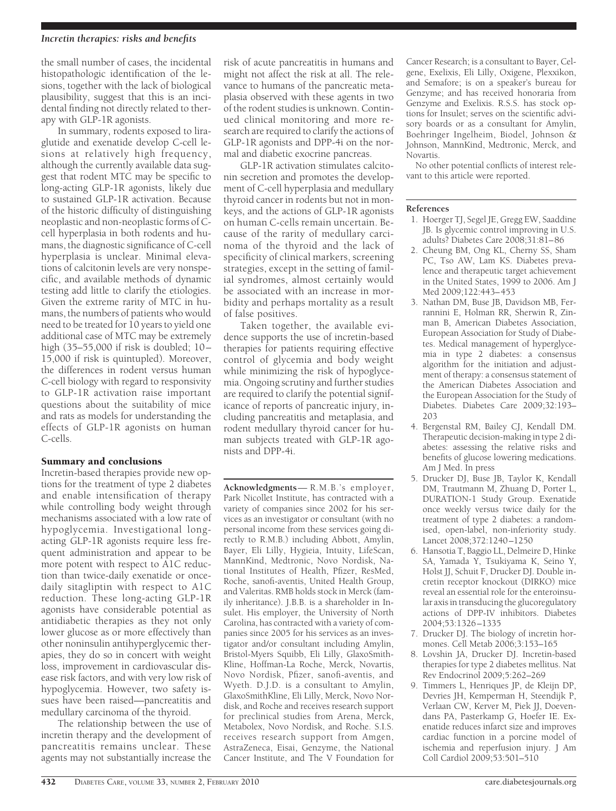## *Incretin therapies: risks and benefits*

the small number of cases, the incidental histopathologic identification of the lesions, together with the lack of biological plausibility, suggest that this is an incidental finding not directly related to therapy with GLP-1R agonists.

In summary, rodents exposed to liraglutide and exenatide develop C-cell lesions at relatively high frequency, although the currently available data suggest that rodent MTC may be specific to long-acting GLP-1R agonists, likely due to sustained GLP-1R activation. Because of the historic difficulty of distinguishing neoplastic and non-neoplastic forms of Ccell hyperplasia in both rodents and humans, the diagnostic significance of C-cell hyperplasia is unclear. Minimal elevations of calcitonin levels are very nonspecific, and available methods of dynamic testing add little to clarify the etiologies. Given the extreme rarity of MTC in humans, the numbers of patients who would need to be treated for 10 years to yield one additional case of MTC may be extremely high (35–55,000 if risk is doubled; 10 – 15,000 if risk is quintupled). Moreover, the differences in rodent versus human C-cell biology with regard to responsivity to GLP-1R activation raise important questions about the suitability of mice and rats as models for understanding the effects of GLP-1R agonists on human C-cells.

# Summary and conclusions

Incretin-based therapies provide new options for the treatment of type 2 diabetes and enable intensification of therapy while controlling body weight through mechanisms associated with a low rate of hypoglycemia. Investigational longacting GLP-1R agonists require less frequent administration and appear to be more potent with respect to A1C reduction than twice-daily exenatide or oncedaily sitagliptin with respect to A1C reduction. These long-acting GLP-1R agonists have considerable potential as antidiabetic therapies as they not only lower glucose as or more effectively than other noninsulin antihyperglycemic therapies, they do so in concert with weight loss, improvement in cardiovascular disease risk factors, and with very low risk of hypoglycemia. However, two safety issues have been raised—pancreatitis and medullary carcinoma of the thyroid.

The relationship between the use of incretin therapy and the development of pancreatitis remains unclear. These agents may not substantially increase the

risk of acute pancreatitis in humans and might not affect the risk at all. The relevance to humans of the pancreatic metaplasia observed with these agents in two of the rodent studies is unknown. Continued clinical monitoring and more research are required to clarify the actions of GLP-1R agonists and DPP-4i on the normal and diabetic exocrine pancreas.

GLP-1R activation stimulates calcitonin secretion and promotes the development of C-cell hyperplasia and medullary thyroid cancer in rodents but not in monkeys, and the actions of GLP-1R agonists on human C-cells remain uncertain. Because of the rarity of medullary carcinoma of the thyroid and the lack of specificity of clinical markers, screening strategies, except in the setting of familial syndromes, almost certainly would be associated with an increase in morbidity and perhaps mortality as a result of false positives.

Taken together, the available evidence supports the use of incretin-based therapies for patients requiring effective control of glycemia and body weight while minimizing the risk of hypoglycemia. Ongoing scrutiny and further studies are required to clarify the potential significance of reports of pancreatic injury, including pancreatitis and metaplasia, and rodent medullary thyroid cancer for human subjects treated with GLP-1R agonists and DPP-4i.

**Acknowledgments**— R.M.B.'s employer, Park Nicollet Institute, has contracted with a variety of companies since 2002 for his services as an investigator or consultant (with no personal income from these services going directly to R.M.B.) including Abbott, Amylin, Bayer, Eli Lilly, Hygieia, Intuity, LifeScan, MannKind, Medtronic, Novo Nordisk, National Institutes of Health, Pfizer, ResMed, Roche, sanofi-aventis, United Health Group, and Valeritas. RMB holds stock in Merck (family inheritance). J.B.B. is a shareholder in Insulet. His employer, the University of North Carolina, has contracted with a variety of companies since 2005 for his services as an investigator and/or consultant including Amylin, Bristol-Myers Squibb, Eli Lilly, GlaxoSmith-Kline, Hoffman-La Roche, Merck, Novartis, Novo Nordisk, Pfizer, sanofi-aventis, and Wyeth. D.J.D. is a consultant to Amylin, GlaxoSmithKline, Eli Lilly, Merck, Novo Nordisk, and Roche and receives research support for preclinical studies from Arena, Merck, Metabolex, Novo Nordisk, and Roche. S.I.S. receives research support from Amgen, AstraZeneca, Eisai, Genzyme, the National Cancer Institute, and The V Foundation for

Cancer Research; is a consultant to Bayer, Celgene, Exelixis, Eli Lilly, Oxigene, Plexxikon, and Semafore; is on a speaker's bureau for Genzyme; and has received honoraria from Genzyme and Exelixis. R.S.S. has stock options for Insulet; serves on the scientific advisory boards or as a consultant for Amylin, Boehringer Ingelheim, Biodel, Johnson & Johnson, MannKind, Medtronic, Merck, and Novartis.

No other potential conflicts of interest relevant to this article were reported.

### **References**

- 1. Hoerger TJ, Segel JE, Gregg EW, Saaddine JB. Is glycemic control improving in U.S. adults? Diabetes Care 2008;31:81– 86
- 2. Cheung BM, Ong KL, Cherny SS, Sham PC, Tso AW, Lam KS. Diabetes prevalence and therapeutic target achievement in the United States, 1999 to 2006. Am J Med 2009;122:443– 453
- 3. Nathan DM, Buse JB, Davidson MB, Ferrannini E, Holman RR, Sherwin R, Zinman B, American Diabetes Association, European Association for Study of Diabetes. Medical management of hyperglycemia in type 2 diabetes: a consensus algorithm for the initiation and adjustment of therapy: a consensus statement of the American Diabetes Association and the European Association for the Study of Diabetes. Diabetes Care 2009;32:193– 203
- 4. Bergenstal RM, Bailey CJ, Kendall DM. Therapeutic decision-making in type 2 diabetes: assessing the relative risks and benefits of glucose lowering medications. Am J Med. In press
- 5. Drucker DJ, Buse JB, Taylor K, Kendall DM, Trautmann M, Zhuang D, Porter L, DURATION-1 Study Group. Exenatide once weekly versus twice daily for the treatment of type 2 diabetes: a randomised, open-label, non-inferiority study. Lancet 2008;372:1240 –1250
- 6. Hansotia T, Baggio LL, Delmeire D, Hinke SA, Yamada Y, Tsukiyama K, Seino Y, Holst JJ, Schuit F, Drucker DJ. Double incretin receptor knockout (DIRKO) mice reveal an essential role for the enteroinsular axis in transducing the glucoregulatory actions of DPP-IV inhibitors. Diabetes 2004;53:1326 –1335
- 7. Drucker DJ. The biology of incretin hormones. Cell Metab 2006;3:153–165
- 8. Lovshin JA, Drucker DJ. Incretin-based therapies for type 2 diabetes mellitus. Nat Rev Endocrinol 2009;5:262–269
- 9. Timmers L, Henriques JP, de Kleijn DP, Devries JH, Kemperman H, Steendijk P, Verlaan CW, Kerver M, Piek JJ, Doevendans PA, Pasterkamp G, Hoefer IE. Exenatide reduces infarct size and improves cardiac function in a porcine model of ischemia and reperfusion injury. J Am Coll Cardiol 2009;53:501–510